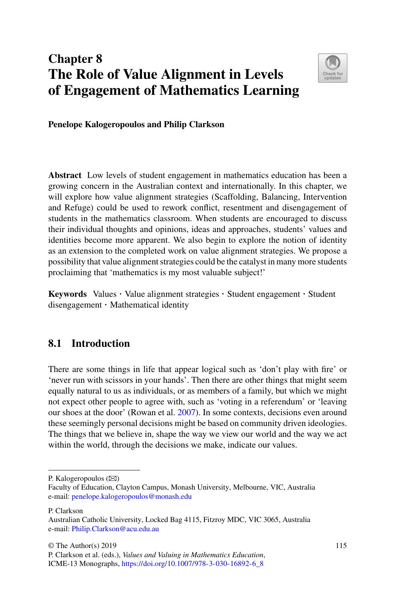# **Chapter 8 The Role of Value Alignment in Levels of Engagement of Mathematics Learning**



**Penelope Kalogeropoulos and Philip Clarkson**

**Abstract** Low levels of student engagement in mathematics education has been a growing concern in the Australian context and internationally. In this chapter, we will explore how value alignment strategies (Scaffolding, Balancing, Intervention and Refuge) could be used to rework conflict, resentment and disengagement of students in the mathematics classroom. When students are encouraged to discuss their individual thoughts and opinions, ideas and approaches, students' values and identities become more apparent. We also begin to explore the notion of identity as an extension to the completed work on value alignment strategies. We propose a possibility that value alignment strategies could be the catalyst in many more students proclaiming that 'mathematics is my most valuable subject!'

**Keywords** Values · Value alignment strategies · Student engagement · Student disengagement · Mathematical identity

## **8.1 Introduction**

There are some things in life that appear logical such as 'don't play with fire' or 'never run with scissors in your hands'. Then there are other things that might seem equally natural to us as individuals, or as members of a family, but which we might not expect other people to agree with, such as 'voting in a referendum' or 'leaving our shoes at the door' (Rowan et al. 2007). In some contexts, decisions even around these seemingly personal decisions might be based on community driven ideologies. The things that we believe in, shape the way we view our world and the way we act within the world, through the decisions we make, indicate our values.

P. Clarkson

P. Kalogeropoulos  $(\boxtimes)$ 

Faculty of Education, Clayton Campus, Monash University, Melbourne, VIC, Australia e-mail: [penelope.kalogeropoulos@monash.edu](mailto:penelope.kalogeropoulos@monash.edu)

Australian Catholic University, Locked Bag 4115, Fitzroy MDC, VIC 3065, Australia e-mail: [Philip.Clarkson@acu.edu.au](mailto:Philip.Clarkson@acu.edu.au)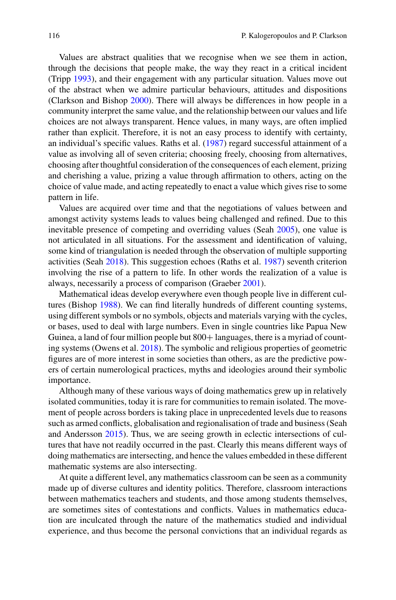Values are abstract qualities that we recognise when we see them in action, through the decisions that people make, the way they react in a critical incident (Tripp 1993), and their engagement with any particular situation. Values move out of the abstract when we admire particular behaviours, attitudes and dispositions (Clarkson and Bishop 2000). There will always be differences in how people in a community interpret the same value, and the relationship between our values and life choices are not always transparent. Hence values, in many ways, are often implied rather than explicit. Therefore, it is not an easy process to identify with certainty, an individual's specific values. Raths et al. (1987) regard successful attainment of a value as involving all of seven criteria; choosing freely, choosing from alternatives, choosing after thoughtful consideration of the consequences of each element, prizing and cherishing a value, prizing a value through affirmation to others, acting on the choice of value made, and acting repeatedly to enact a value which gives rise to some pattern in life.

Values are acquired over time and that the negotiations of values between and amongst activity systems leads to values being challenged and refined. Due to this inevitable presence of competing and overriding values (Seah 2005), one value is not articulated in all situations. For the assessment and identification of valuing, some kind of triangulation is needed through the observation of multiple supporting activities (Seah 2018). This suggestion echoes (Raths et al. 1987) seventh criterion involving the rise of a pattern to life. In other words the realization of a value is always, necessarily a process of comparison (Graeber 2001).

Mathematical ideas develop everywhere even though people live in different cultures (Bishop 1988). We can find literally hundreds of different counting systems, using different symbols or no symbols, objects and materials varying with the cycles, or bases, used to deal with large numbers. Even in single countries like Papua New Guinea, a land of four million people but 800 + languages, there is a myriad of counting systems (Owens et al. 2018). The symbolic and religious properties of geometric figures are of more interest in some societies than others, as are the predictive powers of certain numerological practices, myths and ideologies around their symbolic importance.

Although many of these various ways of doing mathematics grew up in relatively isolated communities, today it is rare for communities to remain isolated. The movement of people across borders is taking place in unprecedented levels due to reasons such as armed conflicts, globalisation and regionalisation of trade and business (Seah and Andersson 2015). Thus, we are seeing growth in eclectic intersections of cultures that have not readily occurred in the past. Clearly this means different ways of doing mathematics are intersecting, and hence the values embedded in these different mathematic systems are also intersecting.

At quite a different level, any mathematics classroom can be seen as a community made up of diverse cultures and identity politics. Therefore, classroom interactions between mathematics teachers and students, and those among students themselves, are sometimes sites of contestations and conflicts. Values in mathematics education are inculcated through the nature of the mathematics studied and individual experience, and thus become the personal convictions that an individual regards as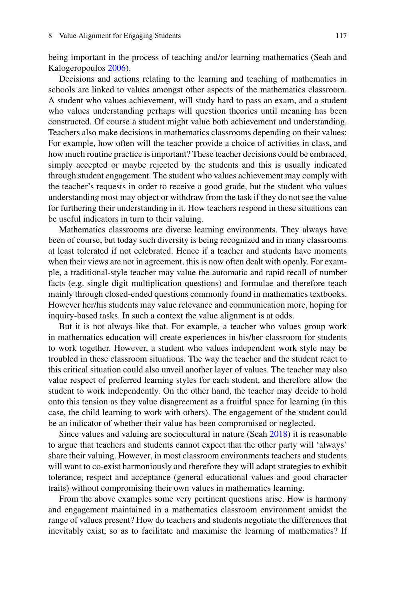being important in the process of teaching and/or learning mathematics (Seah and Kalogeropoulos 2006).

Decisions and actions relating to the learning and teaching of mathematics in schools are linked to values amongst other aspects of the mathematics classroom. A student who values achievement, will study hard to pass an exam, and a student who values understanding perhaps will question theories until meaning has been constructed. Of course a student might value both achievement and understanding. Teachers also make decisions in mathematics classrooms depending on their values: For example, how often will the teacher provide a choice of activities in class, and how much routine practice is important? These teacher decisions could be embraced, simply accepted or maybe rejected by the students and this is usually indicated through student engagement. The student who values achievement may comply with the teacher's requests in order to receive a good grade, but the student who values understandin*g* most may object or withdraw from the task if they do not see the value for furthering their understanding in it. How teachers respond in these situations can be useful indicators in turn to their valuing.

Mathematics classrooms are diverse learning environments. They always have been of course, but today such diversity is being recognized and in many classrooms at least tolerated if not celebrated. Hence if a teacher and students have moments when their views are not in agreement, this is now often dealt with openly. For example, a traditional-style teacher may value the automatic and rapid recall of number facts (e.g. single digit multiplication questions) and formulae and therefore teach mainly through closed-ended questions commonly found in mathematics textbooks. However her/his students may value relevance and communication more, hoping for inquiry-based tasks. In such a context the value alignment is at odds.

But it is not always like that. For example, a teacher who values group work in mathematics education will create experiences in his/her classroom for students to work together. However, a student who values independent work style may be troubled in these classroom situations. The way the teacher and the student react to this critical situation could also unveil another layer of values. The teacher may also value respect of preferred learning styles for each student, and therefore allow the student to work independently. On the other hand, the teacher may decide to hold onto this tension as they value disagreement as a fruitful space for learning (in this case, the child learning to work with others). The engagement of the student could be an indicator of whether their value has been compromised or neglected.

Since values and valuing are sociocultural in nature (Seah 2018) it is reasonable to argue that teachers and students cannot expect that the other party will 'always' share their valuing. However, in most classroom environments teachers and students will want to co-exist harmoniously and therefore they will adapt strategies to exhibit tolerance, respect and acceptance (general educational values and good character traits) without compromising their own values in mathematics learning.

From the above examples some very pertinent questions arise. How is harmony and engagement maintained in a mathematics classroom environment amidst the range of values present? How do teachers and students negotiate the differences that inevitably exist, so as to facilitate and maximise the learning of mathematics? If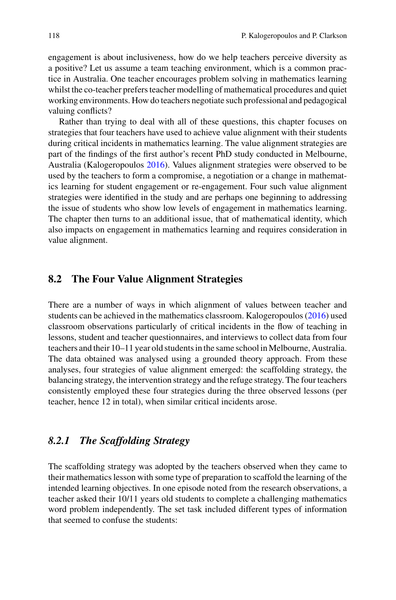engagement is about inclusiveness, how do we help teachers perceive diversity as a positive? Let us assume a team teaching environment, which is a common practice in Australia. One teacher encourages problem solving in mathematics learning whilst the co-teacher prefers teacher modelling of mathematical procedures and quiet working environments. How do teachers negotiate such professional and pedagogical valuing conflicts?

Rather than trying to deal with all of these questions, this chapter focuses on strategies that four teachers have used to achieve value alignment with their students during critical incidents in mathematics learning. The value alignment strategies are part of the findings of the first author's recent PhD study conducted in Melbourne, Australia (Kalogeropoulos 2016). Values alignment strategies were observed to be used by the teachers to form a compromise, a negotiation or a change in mathematics learning for student engagement or re-engagement. Four such value alignment strategies were identified in the study and are perhaps one beginning to addressing the issue of students who show low levels of engagement in mathematics learning. The chapter then turns to an additional issue, that of mathematical identity, which also impacts on engagement in mathematics learning and requires consideration in value alignment.

#### **8.2 The Four Value Alignment Strategies**

There are a number of ways in which alignment of values between teacher and students can be achieved in the mathematics classroom. Kalogeropoulos (2016) used classroom observations particularly of critical incidents in the flow of teaching in lessons, student and teacher questionnaires, and interviews to collect data from four teachers and their 10–11 year old students in the same school in Melbourne, Australia. The data obtained was analysed using a grounded theory approach. From these analyses, four strategies of value alignment emerged: the scaffolding strategy, the balancing strategy, the intervention strategy and the refuge strategy. The four teachers consistently employed these four strategies during the three observed lessons (per teacher, hence 12 in total), when similar critical incidents arose.

### *8.2.1 The Scaffolding Strategy*

The scaffolding strategy was adopted by the teachers observed when they came to their mathematics lesson with some type of preparation to scaffold the learning of the intended learning objectives. In one episode noted from the research observations, a teacher asked their 10/11 years old students to complete a challenging mathematics word problem independently. The set task included different types of information that seemed to confuse the students: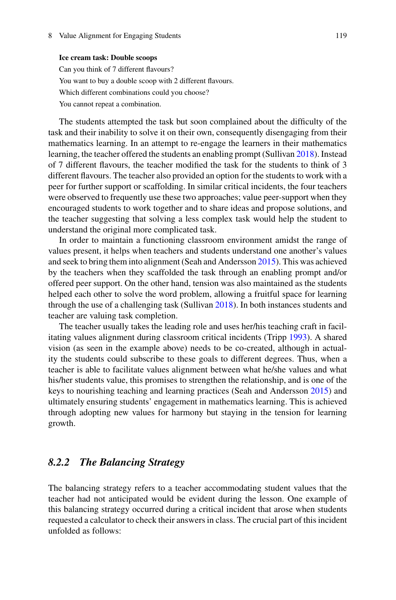#### **Ice cream task: Double scoops**

Can you think of 7 different flavours? You want to buy a double scoop with 2 different flavours. Which different combinations could you choose? You cannot repeat a combination.

The students attempted the task but soon complained about the difficulty of the task and their inability to solve it on their own, consequently disengaging from their mathematics learning. In an attempt to re-engage the learners in their mathematics learning, the teacher offered the students an enabling prompt (Sullivan 2018). Instead of 7 different flavours, the teacher modified the task for the students to think of 3 different flavours. The teacher also provided an option for the students to work with a peer for further support or scaffolding. In similar critical incidents, the four teachers were observed to frequently use these two approaches; value peer-support when they encouraged students to work together and to share ideas and propose solutions, and the teacher suggesting that solving a less complex task would help the student to understand the original more complicated task.

In order to maintain a functioning classroom environment amidst the range of values present, it helps when teachers and students understand one another's values and seek to bring them into alignment (Seah and Andersson 2015). This was achieved by the teachers when they scaffolded the task through an enabling prompt and/or offered peer support. On the other hand, tension was also maintained as the students helped each other to solve the word problem, allowing a fruitful space for learning through the use of a challenging task (Sullivan 2018). In both instances students and teacher are valuing task completion.

The teacher usually takes the leading role and uses her/his teaching craft in facilitating values alignment during classroom critical incidents (Tripp 1993). A shared vision (as seen in the example above) needs to be co-created, although in actuality the students could subscribe to these goals to different degrees. Thus, when a teacher is able to facilitate values alignment between what he/she values and what his/her students value, this promises to strengthen the relationship, and is one of the keys to nourishing teaching and learning practices (Seah and Andersson 2015) and ultimately ensuring students' engagement in mathematics learning. This is achieved through adopting new values for harmony but staying in the tension for learning growth.

#### *8.2.2 The Balancing Strategy*

The balancing strategy refers to a teacher accommodating student values that the teacher had not anticipated would be evident during the lesson. One example of this balancing strategy occurred during a critical incident that arose when students requested a calculator to check their answers in class. The crucial part of this incident unfolded as follows: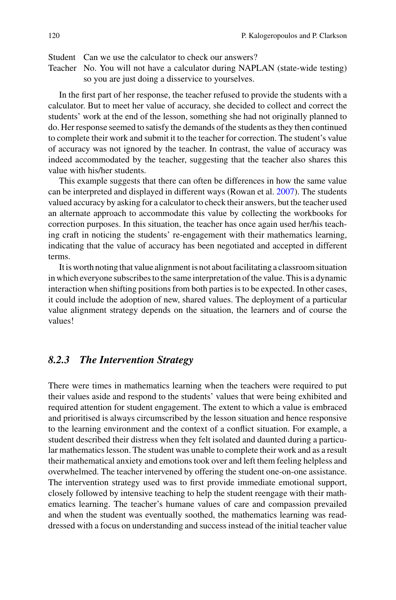Student Can we use the calculator to check our answers?

Teacher No. You will not have a calculator during NAPLAN (state-wide testing) so you are just doing a disservice to yourselves.

In the first part of her response, the teacher refused to provide the students with a calculator. But to meet her value of accuracy, she decided to collect and correct the students' work at the end of the lesson, something she had not originally planned to do. Her response seemed to satisfy the demands of the students as they then continued to complete their work and submit it to the teacher for correction. The student's value of accuracy was not ignored by the teacher. In contrast, the value of accuracy was indeed accommodated by the teacher, suggesting that the teacher also shares this value with his/her students.

This example suggests that there can often be differences in how the same value can be interpreted and displayed in different ways (Rowan et al. 2007). The students valued accuracy by asking for a calculator to check their answers, but the teacher used an alternate approach to accommodate this value by collecting the workbooks for correction purposes. In this situation, the teacher has once again used her/his teaching craft in noticing the students' re-engagement with their mathematics learning, indicating that the value of accuracy has been negotiated and accepted in different terms.

It is worth noting that value alignment is not about facilitating a classroom situation in which everyone subscribes to the same interpretation of the value. This is a dynamic interaction when shifting positions from both parties is to be expected. In other cases, it could include the adoption of new, shared values. The deployment of a particular value alignment strategy depends on the situation, the learners and of course the values!

#### *8.2.3 The Intervention Strategy*

There were times in mathematics learning when the teachers were required to put their values aside and respond to the students' values that were being exhibited and required attention for student engagement. The extent to which a value is embraced and prioritised is always circumscribed by the lesson situation and hence responsive to the learning environment and the context of a conflict situation. For example, a student described their distress when they felt isolated and daunted during a particular mathematics lesson. The student was unable to complete their work and as a result their mathematical anxiety and emotions took over and left them feeling helpless and overwhelmed. The teacher intervened by offering the student one-on-one assistance. The intervention strategy used was to first provide immediate emotional support, closely followed by intensive teaching to help the student reengage with their mathematics learning. The teacher's humane values of care and compassion prevailed and when the student was eventually soothed, the mathematics learning was readdressed with a focus on understanding and success instead of the initial teacher value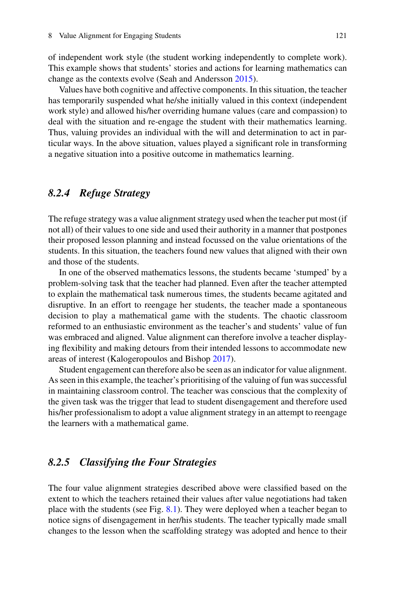of independent work style (the student working independently to complete work). This example shows that students' stories and actions for learning mathematics can change as the contexts evolve (Seah and Andersson 2015).

Values have both cognitive and affective components. In this situation, the teacher has temporarily suspended what he/she initially valued in this context (independent work style) and allowed his/her overriding humane values (care and compassion) to deal with the situation and re-engage the student with their mathematics learning. Thus, valuing provides an individual with the will and determination to act in particular ways. In the above situation, values played a significant role in transforming a negative situation into a positive outcome in mathematics learning.

#### *8.2.4 Refuge Strategy*

The refuge strategy was a value alignment strategy used when the teacher put most (if not all) of their values to one side and used their authority in a manner that postpones their proposed lesson planning and instead focussed on the value orientations of the students. In this situation, the teachers found new values that aligned with their own and those of the students.

In one of the observed mathematics lessons, the students became 'stumped' by a problem-solving task that the teacher had planned. Even after the teacher attempted to explain the mathematical task numerous times, the students became agitated and disruptive. In an effort to reengage her students, the teacher made a spontaneous decision to play a mathematical game with the students. The chaotic classroom reformed to an enthusiastic environment as the teacher's and students' value of fun was embraced and aligned. Value alignment can therefore involve a teacher displaying flexibility and making detours from their intended lessons to accommodate new areas of interest (Kalogeropoulos and Bishop 2017).

Student engagement can therefore also be seen as an indicator for value alignment. As seen in this example, the teacher's prioritising of the valuing of fun was successful in maintaining classroom control. The teacher was conscious that the complexity of the given task was the trigger that lead to student disengagement and therefore used his/her professionalism to adopt a value alignment strategy in an attempt to reengage the learners with a mathematical game.

#### *8.2.5 Classifying the Four Strategies*

The four value alignment strategies described above were classified based on the extent to which the teachers retained their values after value negotiations had taken place with the students (see Fig. 8.1). They were deployed when a teacher began to notice signs of disengagement in her/his students. The teacher typically made small changes to the lesson when the scaffolding strategy was adopted and hence to their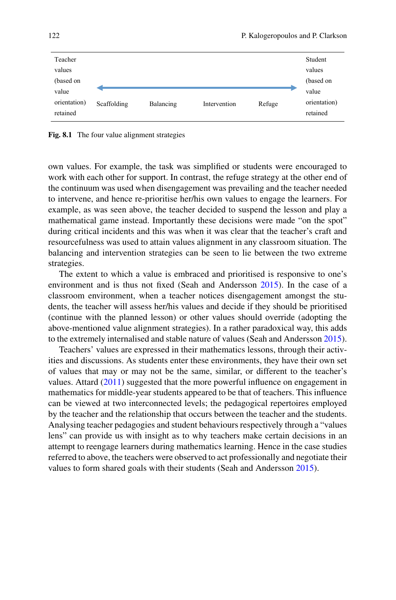

**Fig. 8.1** The four value alignment strategies

own values. For example, the task was simplified or students were encouraged to work with each other for support. In contrast, the refuge strategy at the other end of the continuum was used when disengagement was prevailing and the teacher needed to intervene, and hence re-prioritise her/his own values to engage the learners. For example, as was seen above, the teacher decided to suspend the lesson and play a mathematical game instead. Importantly these decisions were made "on the spot" during critical incidents and this was when it was clear that the teacher's craft and resourcefulness was used to attain values alignment in any classroom situation. The balancing and intervention strategies can be seen to lie between the two extreme strategies.

The extent to which a value is embraced and prioritised is responsive to one's environment and is thus not fixed (Seah and Andersson 2015). In the case of a classroom environment, when a teacher notices disengagement amongst the students, the teacher will assess her/his values and decide if they should be prioritised (continue with the planned lesson) or other values should override (adopting the above-mentioned value alignment strategies). In a rather paradoxical way, this adds to the extremely internalised and stable nature of values (Seah and Andersson 2015).

Teachers' values are expressed in their mathematics lessons, through their activities and discussions. As students enter these environments, they have their own set of values that may or may not be the same, similar, or different to the teacher's values. Attard  $(2011)$  suggested that the more powerful influence on engagement in mathematics for middle-year students appeared to be that of teachers. This influence can be viewed at two interconnected levels; the pedagogical repertoires employed by the teacher and the relationship that occurs between the teacher and the students. Analysing teacher pedagogies and student behaviours respectively through a "values lens" can provide us with insight as to why teachers make certain decisions in an attempt to reengage learners during mathematics learning. Hence in the case studies referred to above, the teachers were observed to act professionally and negotiate their values to form shared goals with their students (Seah and Andersson 2015).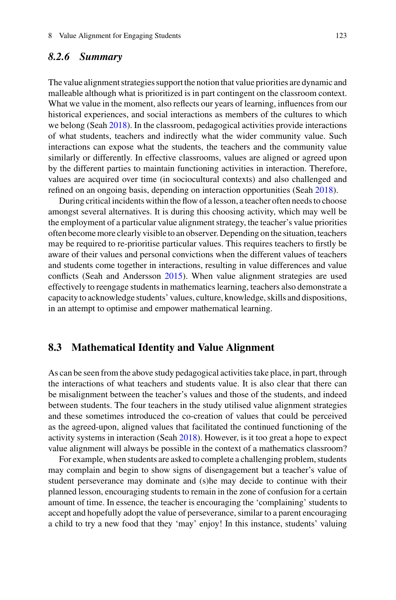#### *8.2.6 Summary*

The value alignment strategies support the notion that value priorities are dynamic and malleable although what is prioritized is in part contingent on the classroom context. What we value in the moment, also reflects our years of learning, influences from our historical experiences, and social interactions as members of the cultures to which we belong (Seah 2018). In the classroom, pedagogical activities provide interactions of what students, teachers and indirectly what the wider community value. Such interactions can expose what the students, the teachers and the community value similarly or differently. In effective classrooms, values are aligned or agreed upon by the different parties to maintain functioning activities in interaction. Therefore, values are acquired over time (in sociocultural contexts) and also challenged and refined on an ongoing basis, depending on interaction opportunities (Seah 2018).

During critical incidents within the flow of a lesson, a teacher often needs to choose amongst several alternatives. It is during this choosing activity, which may well be the employment of a particular value alignment strategy, the teacher's value priorities often become more clearly visible to an observer. Depending on the situation, teachers may be required to re-prioritise particular values. This requires teachers to firstly be aware of their values and personal convictions when the different values of teachers and students come together in interactions, resulting in value differences and value conflicts (Seah and Andersson 2015). When value alignment strategies are used effectively to reengage students in mathematics learning, teachers also demonstrate a capacity to acknowledge students' values, culture, knowledge, skills and dispositions, in an attempt to optimise and empower mathematical learning.

#### **8.3 Mathematical Identity and Value Alignment**

As can be seen from the above study pedagogical activities take place, in part, through the interactions of what teachers and students value. It is also clear that there can be misalignment between the teacher's values and those of the students, and indeed between students. The four teachers in the study utilised value alignment strategies and these sometimes introduced the co-creation of values that could be perceived as the agreed-upon, aligned values that facilitated the continued functioning of the activity systems in interaction (Seah 2018). However, is it too great a hope to expect value alignment will always be possible in the context of a mathematics classroom?

For example, when students are asked to complete a challenging problem, students may complain and begin to show signs of disengagement but a teacher's value of student perseverance may dominate and (s)he may decide to continue with their planned lesson, encouraging students to remain in the zone of confusion for a certain amount of time. In essence, the teacher is encouraging the 'complaining' students to accept and hopefully adopt the value of perseverance, similar to a parent encouraging a child to try a new food that they 'may' enjoy! In this instance, students' valuing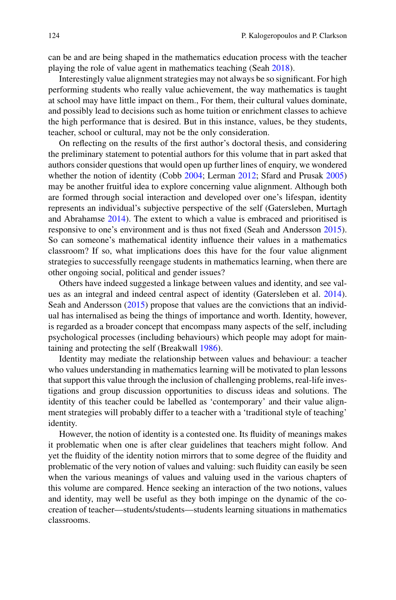can be and are being shaped in the mathematics education process with the teacher playing the role of value agent in mathematics teaching (Seah 2018).

Interestingly value alignment strategies may not always be so significant. For high performing students who really value achievement, the way mathematics is taught at school may have little impact on them., For them, their cultural values dominate, and possibly lead to decisions such as home tuition or enrichment classes to achieve the high performance that is desired. But in this instance, values, be they students, teacher, school or cultural, may not be the only consideration.

On reflecting on the results of the first author's doctoral thesis, and considering the preliminary statement to potential authors for this volume that in part asked that authors consider questions that would open up further lines of enquiry, we wondered whether the notion of identity (Cobb 2004; Lerman 2012; Sfard and Prusak 2005) may be another fruitful idea to explore concerning value alignment. Although both are formed through social interaction and developed over one's lifespan, identity represents an individual's subjective perspective of the self (Gatersleben, Murtagh and Abrahamse 2014). The extent to which a value is embraced and prioritised is responsive to one's environment and is thus not fixed (Seah and Andersson 2015). So can someone's mathematical identity influence their values in a mathematics classroom? If so, what implications does this have for the four value alignment strategies to successfully reengage students in mathematics learning, when there are other ongoing social, political and gender issues?

Others have indeed suggested a linkage between values and identity, and see values as an integral and indeed central aspect of identity (Gatersleben et al. 2014). Seah and Andersson (2015) propose that values are the convictions that an individual has internalised as being the things of importance and worth. Identity, however, is regarded as a broader concept that encompass many aspects of the self, including psychological processes (including behaviours) which people may adopt for maintaining and protecting the self (Breakwall 1986).

Identity may mediate the relationship between values and behaviour: a teacher who values understanding in mathematics learning will be motivated to plan lessons that support this value through the inclusion of challenging problems, real-life investigations and group discussion opportunities to discuss ideas and solutions. The identity of this teacher could be labelled as 'contemporary' and their value alignment strategies will probably differ to a teacher with a 'traditional style of teaching' identity.

However, the notion of identity is a contested one. Its fluidity of meanings makes it problematic when one is after clear guidelines that teachers might follow. And yet the fluidity of the identity notion mirrors that to some degree of the fluidity and problematic of the very notion of values and valuing: such fluidity can easily be seen when the various meanings of values and valuing used in the various chapters of this volume are compared. Hence seeking an interaction of the two notions, values and identity, may well be useful as they both impinge on the dynamic of the cocreation of teacher—students/students—students learning situations in mathematics classrooms.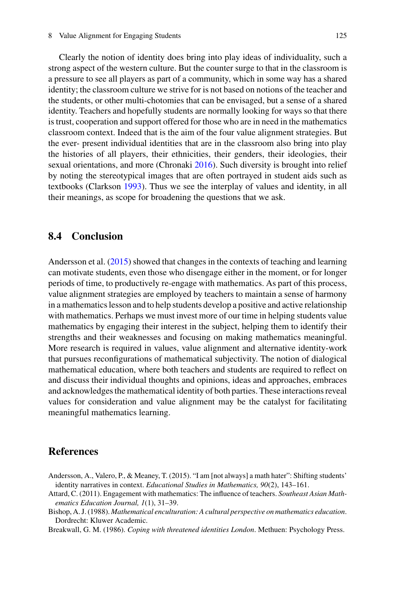Clearly the notion of identity does bring into play ideas of individuality, such a strong aspect of the western culture. But the counter surge to that in the classroom is a pressure to see all players as part of a community, which in some way has a shared identity; the classroom culture we strive for is not based on notions of the teacher and the students, or other multi-chotomies that can be envisaged, but a sense of a shared identity. Teachers and hopefully students are normally looking for ways so that there is trust, cooperation and support offered for those who are in need in the mathematics classroom context. Indeed that is the aim of the four value alignment strategies. But the ever- present individual identities that are in the classroom also bring into play the histories of all players, their ethnicities, their genders, their ideologies, their sexual orientations, and more (Chronaki 2016). Such diversity is brought into relief by noting the stereotypical images that are often portrayed in student aids such as textbooks (Clarkson 1993). Thus we see the interplay of values and identity, in all their meanings, as scope for broadening the questions that we ask.

#### **8.4 Conclusion**

Andersson et al. (2015) showed that changes in the contexts of teaching and learning can motivate students, even those who disengage either in the moment, or for longer periods of time, to productively re-engage with mathematics. As part of this process, value alignment strategies are employed by teachers to maintain a sense of harmony in a mathematics lesson and to help students develop a positive and active relationship with mathematics. Perhaps we must invest more of our time in helping students value mathematics by engaging their interest in the subject, helping them to identify their strengths and their weaknesses and focusing on making mathematics meaningful. More research is required in values, value alignment and alternative identity-work that pursues reconfigurations of mathematical subjectivity. The notion of dialogical mathematical education, where both teachers and students are required to reflect on and discuss their individual thoughts and opinions, ideas and approaches, embraces and acknowledges the mathematical identity of both parties. These interactions reveal values for consideration and value alignment may be the catalyst for facilitating meaningful mathematics learning.

#### **References**

- Andersson, A., Valero, P., & Meaney, T. (2015). "I am [not always] a math hater": Shifting students' identity narratives in context. *Educational Studies in Mathematics, 90*(2), 143–161.
- Attard, C. (2011). Engagement with mathematics: The influence of teachers. *Southeast Asian Mathematics Education Journal, 1*(1), 31–39.
- Bishop, A. J. (1988). *Mathematical enculturation: A cultural perspective on mathematics education*. Dordrecht: Kluwer Academic.
- Breakwall, G. M. (1986). *Coping with threatened identities London*. Methuen: Psychology Press.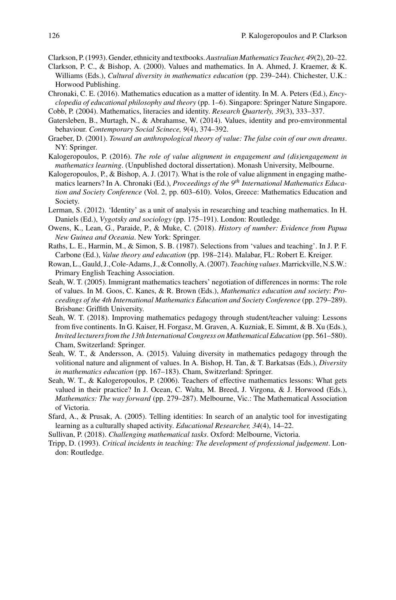Clarkson, P. (1993). Gender, ethnicity and textbooks.*Australian Mathematics Teacher, 49*(2), 20–22.

- Clarkson, P. C., & Bishop, A. (2000). Values and mathematics. In A. Ahmed, J. Kraemer, & K. Williams (Eds.), *Cultural diversity in mathematics education* (pp. 239–244). Chichester, U.K.: Horwood Publishing.
- Chronaki, C. E. (2016). Mathematics education as a matter of identity. In M. A. Peters (Ed.), *Encyclopedia of educational philosophy and theory* (pp. 1–6). Singapore: Springer Nature Singapore.
- Cobb, P. (2004). Mathematics, literacies and identity. *Research Quarterly, 39*(3), 333–337.
- Gatersleben, B., Murtagh, N., & Abrahamse, W. (2014). Values, identity and pro-emvironmental behaviour. *Contemporary Social Scinece, 9*(4), 374–392.
- Graeber, D. (2001). *Toward an anthropological theory of value: The false coin of our own dreams*. NY: Springer.
- Kalogeropoulos, P. (2016). *The role of value alignment in engagement and (dis)engagement in mathematics learning*. (Unpublished doctoral dissertation). Monash University, Melbourne.
- Kalogeropoulos, P., & Bishop, A. J. (2017). What is the role of value alignment in engaging mathematics learners? In A. Chronaki (Ed.), *Proceedings of the 9th International Mathematics Education and Society Conference* (Vol. 2, pp. 603–610). Volos, Greece: Mathematics Education and Society.
- Lerman, S. (2012). 'Identity' as a unit of analysis in researching and teaching mathematics. In H. Daniels (Ed.), *Vygotsky and sociology* (pp. 175–191). London: Routledge.
- Owens, K., Lean, G., Paraide, P., & Muke, C. (2018). *History of number: Evidence from Papua New Guinea and Oceania*. New York: Springer.
- Raths, L. E., Harmin, M., & Simon, S. B. (1987). Selections from 'values and teaching'. In J. P. F. Carbone (Ed.), *Value theory and education* (pp. 198–214). Malabar, FL: Robert E. Kreiger.
- Rowan, L., Gauld, J., Cole-Adams, J., & Connolly, A. (2007). *Teaching values*.Marrickville, N.S.W.: Primary English Teaching Association.
- Seah, W. T. (2005). Immigrant mathematics teachers' negotiation of differences in norms: The role of values. In M. Goos, C. Kanes, & R. Brown (Eds.), *Mathematics education and society*: *Proceedings of the 4th International Mathematics Education and Society Conference* (pp. 279–289). Brisbane: Griffith University.
- Seah, W. T. (2018). Improving mathematics pedagogy through student/teacher valuing: Lessons from five continents. In G. Kaiser, H. Forgasz, M. Graven, A. Kuzniak, E. Simmt, & B. Xu (Eds.), *Invited lecturers from the 13th International Congress on Mathematical Education* (pp. 561–580). Cham, Switzerland: Springer.
- Seah, W. T., & Andersson, A. (2015). Valuing diversity in mathematics pedagogy through the volitional nature and alignment of values. In A. Bishop, H. Tan, & T. Barkatsas (Eds.), *Diversity in mathematics education* (pp. 167–183). Cham, Switzerland: Springer.
- Seah, W. T., & Kalogeropoulos, P. (2006). Teachers of effective mathematics lessons: What gets valued in their practice? In J. Ocean, C. Walta, M. Breed, J. Virgona, & J. Horwood (Eds.), *Mathematics: The way forward* (pp. 279–287). Melbourne, Vic.: The Mathematical Association of Victoria.
- Sfard, A., & Prusak, A. (2005). Telling identities: In search of an analytic tool for investigating learning as a culturally shaped activity. *Educational Researcher, 34*(4), 14–22.
- Sullivan, P. (2018). *Challenging mathematical tasks*. Oxford: Melbourne, Victoria.
- Tripp, D. (1993). *Critical incidents in teaching: The development of professional judgement*. London: Routledge.